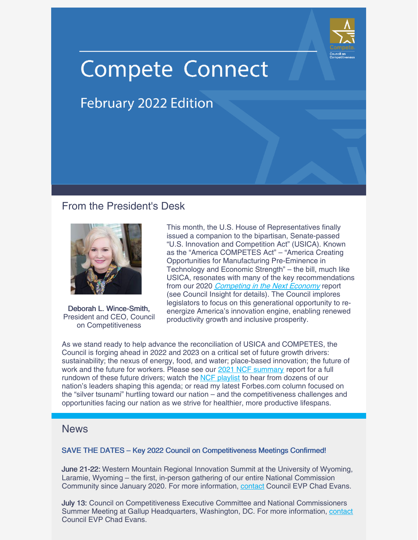

# **Compete Connect**

## **February 2022 Edition**

## From the President's Desk



Deborah L. Wince-Smith, President and CEO, Council on Competitiveness

This month, the U.S. House of Representatives finally issued a companion to the bipartisan, Senate-passed "U.S. Innovation and Competition Act" (USICA). Known as the "America COMPETES Act" – "America Creating Opportunities for Manufacturing Pre-Eminence in Technology and Economic Strength" – the bill, much like USICA, resonates with many of the key recommendations from our 2020 [Competing](https://www.compete.org/component/content/article/3420/3420) in the Next Economy report (see Council Insight for details). The Council implores legislators to focus on this generational opportunity to reenergize America's innovation engine, enabling renewed productivity growth and inclusive prosperity.

As we stand ready to help advance the reconciliation of USICA and COMPETES, the Council is forging ahead in 2022 and 2023 on a critical set of future growth drivers: sustainability; the nexus of energy, food, and water; place-based innovation; the future of work and the future for workers. Please see our 2021 NCF [summary](https://www.compete.org/reports/all/3435) report for a full rundown of these future drivers; watch the NCF [playlist](https://www.youtube.com/playlist?list=PLTju9Lel15_7Q6Va7PiHvSpEzmQWyCb2Z) to hear from dozens of our nation's leaders shaping this agenda; or read my latest Forbes.com column focused on the "silver tsunami" hurtling toward our nation – and the competitiveness challenges and opportunities facing our nation as we strive for healthier, more productive lifespans.

### **News**

#### SAVE THE DATES – Key 2022 Council on Competitiveness Meetings Confirmed!

June 21-22: Western Mountain Regional Innovation Summit at the University of Wyoming, Laramie, Wyoming – the first, in-person gathering of our entire National Commission Community since January 2020. For more information, [contact](mailto:cevans@compete.org) Council EVP Chad Evans.

July 13: Council on Competitiveness Executive Committee and National Commissioners Summer Meeting at Gallup Headquarters, Washington, DC. For more information, [contact](mailto:cevans@compete.org) Council EVP Chad Evans.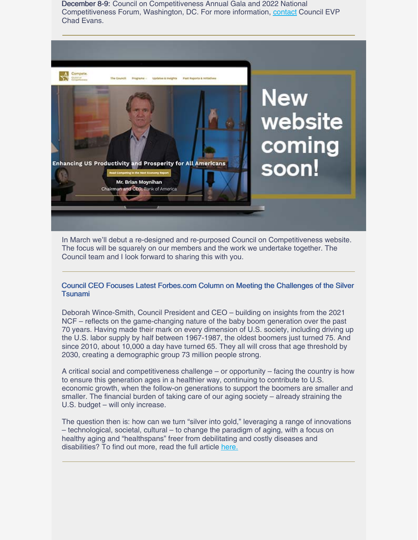December 8-9: Council on Competitiveness Annual Gala and 2022 National Competitiveness Forum, Washington, DC. For more information, [contact](mailto:cevans@compete.org) Council EVP Chad Evans.



In March we'll debut a re-designed and re-purposed Council on Competitiveness website. The focus will be squarely on our members and the work we undertake together. The Council team and I look forward to sharing this with you.

#### Council CEO Focuses Latest Forbes.com Column on Meeting the Challenges of the Silver Tsunami

Deborah Wince-Smith, Council President and CEO – building on insights from the 2021 NCF – reflects on the game-changing nature of the baby boom generation over the past 70 years. Having made their mark on every dimension of U.S. society, including driving up the U.S. labor supply by half between 1967-1987, the oldest boomers just turned 75. And since 2010, about 10,000 a day have turned 65. They all will cross that age threshold by 2030, creating a demographic group 73 million people strong.

A critical social and competitiveness challenge – or opportunity – facing the country is how to ensure this generation ages in a healthier way, continuing to contribute to U.S. economic growth, when the follow-on generations to support the boomers are smaller and smaller. The financial burden of taking care of our aging society – already straining the U.S. budget – will only increase.

The question then is: how can we turn "silver into gold," leveraging a range of innovations – technological, societal, cultural – to change the paradigm of aging, with a focus on healthy aging and "healthspans" freer from debilitating and costly diseases and disabilities? To find out more, read the full article [here.](https://www.forbes.com/sites/deborahwince-smith/2022/02/25/bracing-for-the-silver-tsunami/?sh=587da71433e4)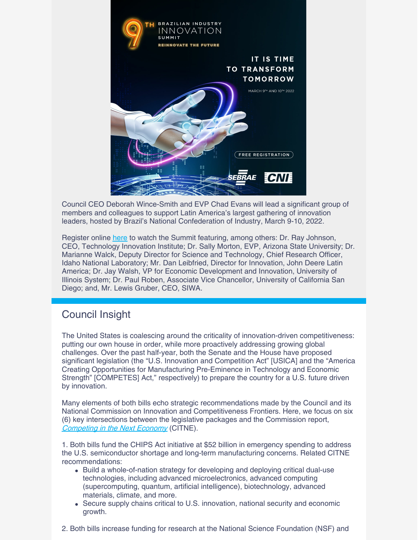

Council CEO Deborah Wince-Smith and EVP Chad Evans will lead a significant group of members and colleagues to support Latin America's largest gathering of innovation leaders, hosted by Brazil's National Confederation of Industry, March 9-10, 2022.

Register online [here](https://www.congressodeinovacao.com.br/en/) to watch the Summit featuring, among others: Dr. Ray Johnson, CEO, Technology Innovation Institute; Dr. Sally Morton, EVP, Arizona State University; Dr. Marianne Walck, Deputy Director for Science and Technology, Chief Research Officer, Idaho National Laboratory; Mr. Dan Leibfried, Director for Innovation, John Deere Latin America; Dr. Jay Walsh, VP for Economic Development and Innovation, University of Illinois System; Dr. Paul Roben, Associate Vice Chancellor, University of California San Diego; and, Mr. Lewis Gruber, CEO, SIWA.

## Council Insight

The United States is coalescing around the criticality of innovation-driven competitiveness: putting our own house in order, while more proactively addressing growing global challenges. Over the past half-year, both the Senate and the House have proposed significant legislation (the "U.S. Innovation and Competition Act" [USICA] and the "America Creating Opportunities for Manufacturing Pre-Eminence in Technology and Economic Strength" [COMPETES] Act," respectively) to prepare the country for a U.S. future driven by innovation.

Many elements of both bills echo strategic recommendations made by the Council and its National Commission on Innovation and Competitiveness Frontiers. Here, we focus on six (6) key intersections between the legislative packages and the Commission report, [Competing](https://www.compete.org/component/content/article/3420) in the Next Economy (CITNE).

1. Both bills fund the CHIPS Act initiative at \$52 billion in emergency spending to address the U.S. semiconductor shortage and long-term manufacturing concerns. Related CITNE recommendations:

- Build a whole-of-nation strategy for developing and deploying critical dual-use technologies, including advanced microelectronics, advanced computing (supercomputing, quantum, artificial intelligence), biotechnology, advanced materials, climate, and more.
- Secure supply chains critical to U.S. innovation, national security and economic growth.
- 2. Both bills increase funding for research at the National Science Foundation (NSF) and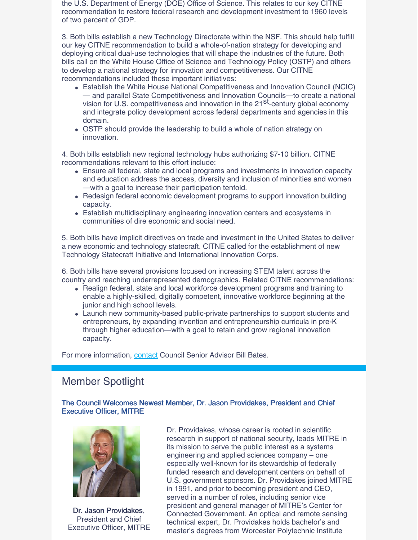the U.S. Department of Energy (DOE) Office of Science. This relates to our key CITNE recommendation to restore federal research and development investment to 1960 levels of two percent of GDP.

3. Both bills establish a new Technology Directorate within the NSF. This should help fulfill our key CITNE recommendation to build a whole-of-nation strategy for developing and deploying critical dual-use technologies that will shape the industries of the future. Both bills call on the White House Office of Science and Technology Policy (OSTP) and others to develop a national strategy for innovation and competitiveness. Our CITNE recommendations included these important initiatives:

- Establish the White House National Competitiveness and Innovation Council (NCIC) — and parallel State Competitiveness and Innovation Councils—to create a national vision for U.S. competitiveness and innovation in the 21<sup>st</sup>-century global economy and integrate policy development across federal departments and agencies in this domain.
- OSTP should provide the leadership to build a whole of nation strategy on innovation.

4. Both bills establish new regional technology hubs authorizing \$7-10 billion. CITNE recommendations relevant to this effort include:

- Ensure all federal, state and local programs and investments in innovation capacity and education address the access, diversity and inclusion of minorities and women —with a goal to increase their participation tenfold.
- Redesign federal economic development programs to support innovation building capacity.
- Establish multidisciplinary engineering innovation centers and ecosystems in communities of dire economic and social need.

5. Both bills have implicit directives on trade and investment in the United States to deliver a new economic and technology statecraft. CITNE called for the establishment of new Technology Statecraft Initiative and International Innovation Corps.

6. Both bills have several provisions focused on increasing STEM talent across the country and reaching underrepresented demographics. Related CITNE recommendations:

- Realign federal, state and local workforce development programs and training to enable a highly-skilled, digitally competent, innovative workforce beginning at the junior and high school levels.
- Launch new community-based public-private partnerships to support students and entrepreneurs, by expanding invention and entrepreneurship curricula in pre-K through higher education—with a goal to retain and grow regional innovation capacity.

For more information, **[contact](mailto:bbates@compete.org)** Council Senior Advisor Bill Bates.

## Member Spotlight

The Council Welcomes Newest Member, Dr. Jason Providakes, President and Chief Executive Officer, MITRE



Dr. Jason Providakes, President and Chief Executive Officer, MITRE

Dr. Providakes, whose career is rooted in scientific research in support of national security, leads MITRE in its mission to serve the public interest as a systems engineering and applied sciences company – one especially well-known for its stewardship of federally funded research and development centers on behalf of U.S. government sponsors. Dr. Providakes joined MITRE in 1991, and prior to becoming president and CEO, served in a number of roles, including senior vice president and general manager of MITRE's Center for Connected Government. An optical and remote sensing technical expert, Dr. Providakes holds bachelor's and master's degrees from Worcester Polytechnic Institute